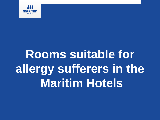

## **Rooms suitable for allergy sufferers in the Maritim Hotels**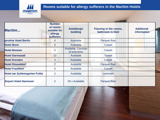

## **Rooms suitable for allergy sufferers in the Maritim Hotels**

| Maritim                             | <b>Number</b><br>of rooms<br>suitable for<br>allergy<br><b>sufferers</b> | <b>Antiallergic</b><br>bedding              | Flooring in the rooms,<br>bathroom is tiled | <b>Additional</b><br>information |
|-------------------------------------|--------------------------------------------------------------------------|---------------------------------------------|---------------------------------------------|----------------------------------|
| proArte Hotel Berlin                | 4                                                                        | Available                                   | <b>Parquet floor</b>                        |                                  |
| <b>Hotel Bonn</b>                   | $\overline{0}$                                                           | <b>Available</b>                            | Carpet                                      |                                  |
| <b>Hotel Bremen</b>                 | $\overline{0}$                                                           | <b>Available; Consists</b><br>of polysticks | Carpet                                      |                                  |
| <b>Hotel Darmstadt</b>              | 13                                                                       | Available                                   | <b>Tarkett</b>                              |                                  |
| <b>Hotel Dresden</b>                | $\overline{0}$                                                           | Available                                   | Carpet                                      |                                  |
| <b>Hotel Düsseldorf</b>             | 2                                                                        | Available                                   | <b>Parquet floor</b>                        |                                  |
| <b>Hotel Frankfurt</b>              | 0                                                                        | Available                                   | Carpet                                      |                                  |
| <b>Hotel am Schlossgarten Fulda</b> | $\overline{2}$                                                           | Available                                   | Laminate                                    |                                  |
| <b>Airport Hotel Hannover</b>       | 2                                                                        | 30 x Available                              | <b>Parquet floor</b>                        |                                  |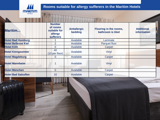

**JULIA** 

## **Rooms suitable for allergy sufferers in the Maritim Hotels**

| Maritim                    | <b>Number</b><br>of rooms<br>suitable for<br>allergy<br><b>sufferers</b> | <b>Antiallergic</b><br>bedding | Flooring in the rooms,<br>bathroom is tiled | <b>Additional</b><br>information |
|----------------------------|--------------------------------------------------------------------------|--------------------------------|---------------------------------------------|----------------------------------|
| <b>Hotel Bad Homburg</b>   |                                                                          | Available                      | Laminate                                    |                                  |
| <b>Hotel Bellevue Kiel</b> | $\overline{2}$                                                           | Available                      | Parquet floor                               |                                  |
| <b>Hotel Köln</b>          | 0                                                                        | Available                      | Carpet                                      |                                  |
| <b>Hotel Königswinter</b>  | 40<br>(10 per floor)                                                     | Available                      | Vinyl                                       |                                  |
| <b>Hotel Magdeburg</b>     | 0                                                                        | Available                      | Carpet                                      |                                  |
| <b>Hotel Mannheim</b>      |                                                                          | Available                      | Vinyl                                       |                                  |
| <b>Hotel München</b>       | 0                                                                        | Available                      | Carpet                                      |                                  |
| <b>Hotel Bad Salzuflen</b> | 10                                                                       | Available                      | Carpet                                      |                                  |